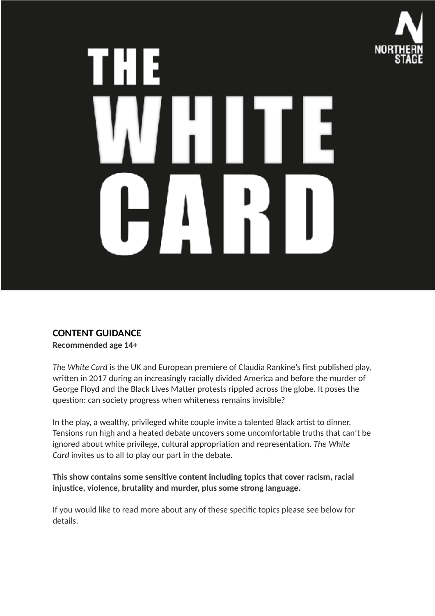

# **CONTENT GUIDANCE**

**Recommended age 14+**

*The White Card* is the UK and European premiere of Claudia Rankine's first published play, written in 2017 during an increasingly racially divided America and before the murder of George Floyd and the Black Lives Matter protests rippled across the globe. It poses the question: can society progress when whiteness remains invisible?

In the play, a wealthy, privileged white couple invite a talented Black artist to dinner. Tensions run high and a heated debate uncovers some uncomfortable truths that can't be ignored about white privilege, cultural appropriation and representation. The White *Card* invites us to all to play our part in the debate.

This show contains some sensitive content including topics that cover racism, racial injustice, violence, brutality and murder, plus some strong language.

If you would like to read more about any of these specific topics please see below for details.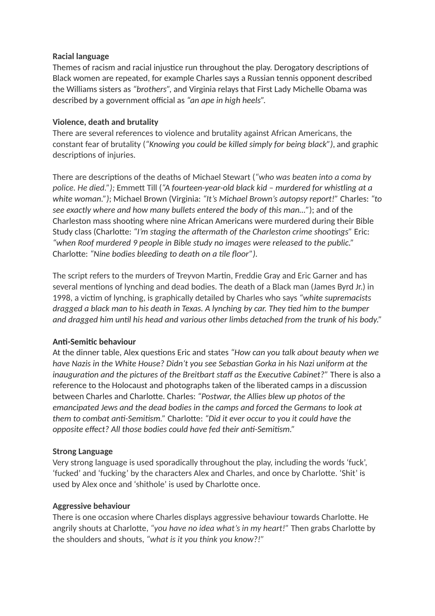# **Racial language**

Themes of racism and racial injustice run throughout the play. Derogatory descriptions of Black women are repeated, for example Charles says a Russian tennis opponent described the Williams sisters as *"brothers",* and Virginia relays that First Lady Michelle Obama was described by a government official as *"an ape in high heels".*

# **Violence, death and brutality**

There are several references to violence and brutality against African Americans, the constant fear of brutality (*"Knowing you could be killed simply for being black")*, and graphic descriptions of injuries.

There are descriptions of the deaths of Michael Stewart (*"who was beaten into a coma by* police. He died."); Emmett Till ("A fourteen-year-old black kid - murdered for whistling at a *white woman.")*; Michael Brown (Virginia: *"It's Michael Brown's autopsy report!"* Charles: *"to see exactly where and how many bullets entered the body of this man…"*); and of the Charleston mass shooting where nine African Americans were murdered during their Bible Study class (Charlotte: "I'm staging the aftermath of the Charleston crime shootings" Eric: *"when Roof murdered 9 people in Bible study no images were released to the public."* Charlotte: "Nine bodies bleeding to death on a tile floor").

The script refers to the murders of Treyvon Martin, Freddie Gray and Eric Garner and has several mentions of lynching and dead bodies. The death of a Black man (James Byrd Jr.) in 1998, a victim of lynching, is graphically detailed by Charles who says *"white supremacists dragged a black man to his death in Texas. A lynching by car. They tied him to the bumper* and dragged him until his head and various other limbs detached from the trunk of his body."

# **Anti-Semitic behaviour**

At the dinner table, Alex questions Eric and states "How can you talk about beauty when we *have Nazis in the White House? Didn't you see Sebastian Gorka in his Nazi uniform at the inauguration and the pictures of the Breitbart staff as the Executive Cabinet?"* There is also a reference to the Holocaust and photographs taken of the liberated camps in a discussion between Charles and Charlotte. Charles: *"Postwar, the Allies blew up photos of the emancipated Jews and the dead bodies in the camps and forced the Germans to look at them to combat anti-Semitism."* Charlotte: *"Did it ever occur to you it could have the opposite effect? All those bodies could have fed their anti-Semitism."* 

#### **Strong Language**

Very strong language is used sporadically throughout the play, including the words 'fuck', 'fucked' and 'fucking' by the characters Alex and Charles, and once by Charlotte. 'Shit' is used by Alex once and 'shithole' is used by Charlotte once.

#### **Aggressive behaviour**

There is one occasion where Charles displays aggressive behaviour towards Charlotte. He angrily shouts at Charlotte, *"you have no idea what's in my heart!"* Then grabs Charlotte by the shoulders and shouts, *"what is it you think you know?!"*